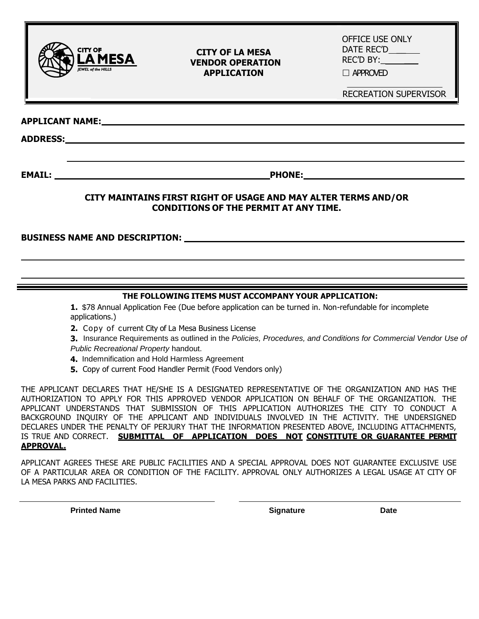

#### **CITY OF LA MESA VENDOR OPERATION APPLICATION**

OFFICE USE ONLY DATE REC'D \_\_ REC'D BY:

□ APPROVED

RECREATION SUPERVISOR

**APPLICANT NAME:**

**ADDRESS:** 

**EMAIL: PHONE:**

### **CITY MAINTAINS FIRST RIGHT OF USAGE AND MAY ALTER TERMS AND/OR CONDITIONS OF THE PERMIT AT ANY TIME.**

**BUSINESS NAME AND DESCRIPTION:**

## **THE FOLLOWING ITEMS MUST ACCOMPANY YOUR APPLICATION:**

**1.** \$78 Annual Application Fee (Due before application can be turned in. Non-refundable for incomplete applications.)

**2.** Copy of current City of La Mesa Business License

**3.** Insurance Requirements as outlined in the *Policies, Procedures, and Conditions for Commercial Vendor Use of Public Recreational Property* handout.

**4.** Indemnification and Hold Harmless Agreement

**5.** Copy of current Food Handler Permit (Food Vendors only)

THE APPLICANT DECLARES THAT HE/SHE IS A DESIGNATED REPRESENTATIVE OF THE ORGANIZATION AND HAS THE AUTHORIZATION TO APPLY FOR THIS APPROVED VENDOR APPLICATION ON BEHALF OF THE ORGANIZATION. THE APPLICANT UNDERSTANDS THAT SUBMISSION OF THIS APPLICATION AUTHORIZES THE CITY TO CONDUCT A BACKGROUND INQUIRY OF THE APPLICANT AND INDIVIDUALS INVOLVED IN THE ACTIVITY. THE UNDERSIGNED DECLARES UNDER THE PENALTY OF PERJURY THAT THE INFORMATION PRESENTED ABOVE, INCLUDING ATTACHMENTS, IS TRUE AND CORRECT. **SUBMITTAL OF APPLICATION DOES NOT CONSTITUTE OR GUARANTEE PERMIT APPROVAL.**

APPLICANT AGREES THESE ARE PUBLIC FACILITIES AND A SPECIAL APPROVAL DOES NOT GUARANTEE EXCLUSIVE USE OF A PARTICULAR AREA OR CONDITION OF THE FACILITY. APPROVAL ONLY AUTHORIZES A LEGAL USAGE AT CITY OF LA MESA PARKS AND FACILITIES.

**Printed Name Community Community Community Community Community Community Community Community Community Community**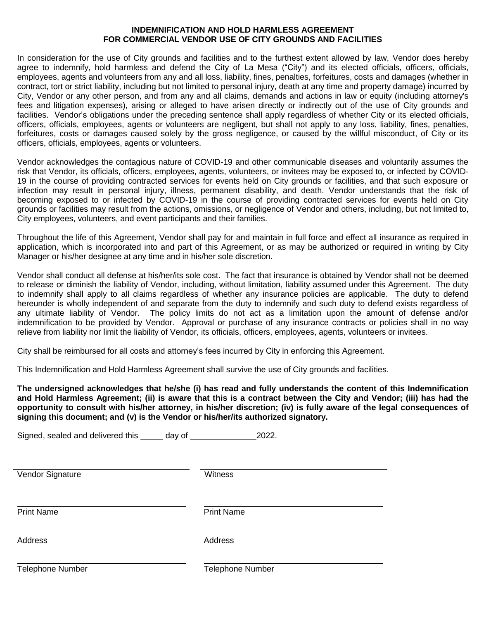#### **INDEMNIFICATION AND HOLD HARMLESS AGREEMENT FOR COMMERCIAL VENDOR USE OF CITY GROUNDS AND FACILITIES**

In consideration for the use of City grounds and facilities and to the furthest extent allowed by law, Vendor does hereby agree to indemnify, hold harmless and defend the City of La Mesa ("City") and its elected officials, officers, officials, employees, agents and volunteers from any and all loss, liability, fines, penalties, forfeitures, costs and damages (whether in contract, tort or strict liability, including but not limited to personal injury, death at any time and property damage) incurred by City, Vendor or any other person, and from any and all claims, demands and actions in law or equity (including attorney's fees and litigation expenses), arising or alleged to have arisen directly or indirectly out of the use of City grounds and facilities. Vendor's obligations under the preceding sentence shall apply regardless of whether City or its elected officials, officers, officials, employees, agents or volunteers are negligent, but shall not apply to any loss, liability, fines, penalties, forfeitures, costs or damages caused solely by the gross negligence, or caused by the willful misconduct, of City or its officers, officials, employees, agents or volunteers.

Vendor acknowledges the contagious nature of COVID-19 and other communicable diseases and voluntarily assumes the risk that Vendor, its officials, officers, employees, agents, volunteers, or invitees may be exposed to, or infected by COVID-19 in the course of providing contracted services for events held on City grounds or facilities, and that such exposure or infection may result in personal injury, illness, permanent disability, and death. Vendor understands that the risk of becoming exposed to or infected by COVID-19 in the course of providing contracted services for events held on City grounds or facilities may result from the actions, omissions, or negligence of Vendor and others, including, but not limited to, City employees, volunteers, and event participants and their families.

Throughout the life of this Agreement, Vendor shall pay for and maintain in full force and effect all insurance as required in application, which is incorporated into and part of this Agreement, or as may be authorized or required in writing by City Manager or his/her designee at any time and in his/her sole discretion.

Vendor shall conduct all defense at his/her/its sole cost. The fact that insurance is obtained by Vendor shall not be deemed to release or diminish the liability of Vendor, including, without limitation, liability assumed under this Agreement. The duty to indemnify shall apply to all claims regardless of whether any insurance policies are applicable. The duty to defend hereunder is wholly independent of and separate from the duty to indemnify and such duty to defend exists regardless of any ultimate liability of Vendor. The policy limits do not act as a limitation upon the amount of defense and/or indemnification to be provided by Vendor. Approval or purchase of any insurance contracts or policies shall in no way relieve from liability nor limit the liability of Vendor, its officials, officers, employees, agents, volunteers or invitees.

City shall be reimbursed for all costs and attorney's fees incurred by City in enforcing this Agreement.

This Indemnification and Hold Harmless Agreement shall survive the use of City grounds and facilities.

**The undersigned acknowledges that he/she (i) has read and fully understands the content of this Indemnification and Hold Harmless Agreement; (ii) is aware that this is a contract between the City and Vendor; (iii) has had the opportunity to consult with his/her attorney, in his/her discretion; (iv) is fully aware of the legal consequences of signing this document; and (v) is the Vendor or his/her/its authorized signatory.** 

| Signed, sealed and delivered this ______ day of ______ | 2022.                   |
|--------------------------------------------------------|-------------------------|
| Vendor Signature                                       | Witness                 |
| <b>Print Name</b>                                      | <b>Print Name</b>       |
| <b>Address</b>                                         | <b>Address</b>          |
| Telephone Number                                       | <b>Telephone Number</b> |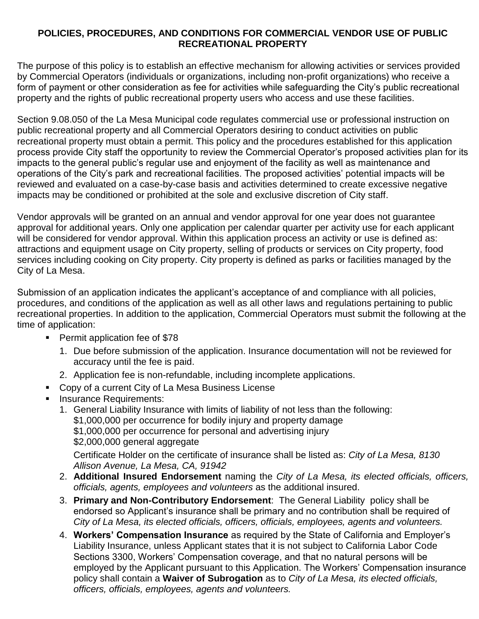# **POLICIES, PROCEDURES, AND CONDITIONS FOR COMMERCIAL VENDOR USE OF PUBLIC RECREATIONAL PROPERTY**

The purpose of this policy is to establish an effective mechanism for allowing activities or services provided by Commercial Operators (individuals or organizations, including non-profit organizations) who receive a form of payment or other consideration as fee for activities while safeguarding the City's public recreational property and the rights of public recreational property users who access and use these facilities.

Section 9.08.050 of the La Mesa Municipal code regulates commercial use or professional instruction on public recreational property and all Commercial Operators desiring to conduct activities on public recreational property must obtain a permit. This policy and the procedures established for this application process provide City staff the opportunity to review the Commercial Operator's proposed activities plan for its impacts to the general public's regular use and enjoyment of the facility as well as maintenance and operations of the City's park and recreational facilities. The proposed activities' potential impacts will be reviewed and evaluated on a case-by-case basis and activities determined to create excessive negative impacts may be conditioned or prohibited at the sole and exclusive discretion of City staff.

Vendor approvals will be granted on an annual and vendor approval for one year does not guarantee approval for additional years. Only one application per calendar quarter per activity use for each applicant will be considered for vendor approval. Within this application process an activity or use is defined as: attractions and equipment usage on City property, selling of products or services on City property, food services including cooking on City property. City property is defined as parks or facilities managed by the City of La Mesa.

Submission of an application indicates the applicant's acceptance of and compliance with all policies, procedures, and conditions of the application as well as all other laws and regulations pertaining to public recreational properties. In addition to the application, Commercial Operators must submit the following at the time of application:

- **Permit application fee of \$78** 
	- 1. Due before submission of the application. Insurance documentation will not be reviewed for accuracy until the fee is paid.
	- 2. Application fee is non-refundable, including incomplete applications.
- Copy of a current City of La Mesa Business License
- **Insurance Requirements:** 
	- 1. General Liability Insurance with limits of liability of not less than the following: \$1,000,000 per occurrence for bodily injury and property damage \$1,000,000 per occurrence for personal and advertising injury \$2,000,000 general aggregate Certificate Holder on the certificate of insurance shall be listed as: *City of La Mesa, 8130*

*Allison Avenue, La Mesa, CA, 91942*

- 2. **Additional Insured Endorsement** naming the *City of La Mesa, its elected officials, officers, officials, agents, employees and volunteers* as the additional insured.
- 3. **Primary and Non-Contributory Endorsement**: The General Liability policy shall be endorsed so Applicant's insurance shall be primary and no contribution shall be required of *City of La Mesa, its elected officials, officers, officials, employees, agents and volunteers.*
- 4. **Workers' Compensation Insurance** as required by the State of California and Employer's Liability Insurance, unless Applicant states that it is not subject to California Labor Code Sections 3300, Workers' Compensation coverage, and that no natural persons will be employed by the Applicant pursuant to this Application. The Workers' Compensation insurance policy shall contain a **Waiver of Subrogation** as to *City of La Mesa, its elected officials, officers, officials, employees, agents and volunteers.*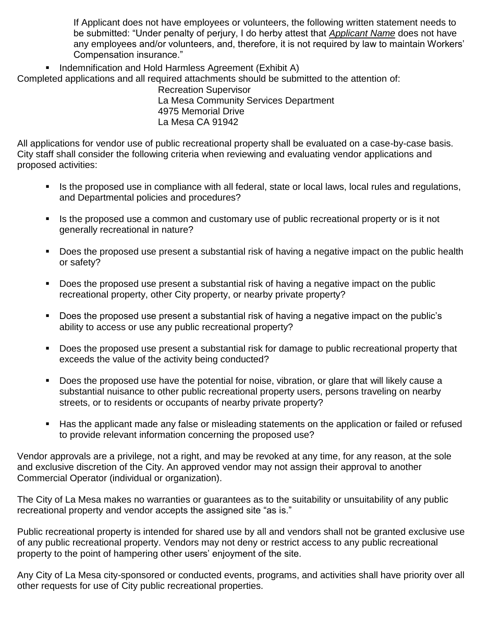If Applicant does not have employees or volunteers, the following written statement needs to be submitted: "Under penalty of perjury, I do herby attest that *Applicant Name* does not have any employees and/or volunteers, and, therefore, it is not required by law to maintain Workers' Compensation insurance."

■ Indemnification and Hold Harmless Agreement (Exhibit A)

Completed applications and all required attachments should be submitted to the attention of:

 Recreation Supervisor La Mesa Community Services Department 4975 Memorial Drive La Mesa CA 91942

All applications for vendor use of public recreational property shall be evaluated on a case-by-case basis. City staff shall consider the following criteria when reviewing and evaluating vendor applications and proposed activities:

- Is the proposed use in compliance with all federal, state or local laws, local rules and regulations, and Departmental policies and procedures?
- Is the proposed use a common and customary use of public recreational property or is it not generally recreational in nature?
- Does the proposed use present a substantial risk of having a negative impact on the public health or safety?
- Does the proposed use present a substantial risk of having a negative impact on the public recreational property, other City property, or nearby private property?
- Does the proposed use present a substantial risk of having a negative impact on the public's ability to access or use any public recreational property?
- Does the proposed use present a substantial risk for damage to public recreational property that exceeds the value of the activity being conducted?
- Does the proposed use have the potential for noise, vibration, or glare that will likely cause a substantial nuisance to other public recreational property users, persons traveling on nearby streets, or to residents or occupants of nearby private property?
- Has the applicant made any false or misleading statements on the application or failed or refused to provide relevant information concerning the proposed use?

Vendor approvals are a privilege, not a right, and may be revoked at any time, for any reason, at the sole and exclusive discretion of the City. An approved vendor may not assign their approval to another Commercial Operator (individual or organization).

The City of La Mesa makes no warranties or guarantees as to the suitability or unsuitability of any public recreational property and vendor accepts the assigned site "as is."

Public recreational property is intended for shared use by all and vendors shall not be granted exclusive use of any public recreational property. Vendors may not deny or restrict access to any public recreational property to the point of hampering other users' enjoyment of the site.

Any City of La Mesa city-sponsored or conducted events, programs, and activities shall have priority over all other requests for use of City public recreational properties.